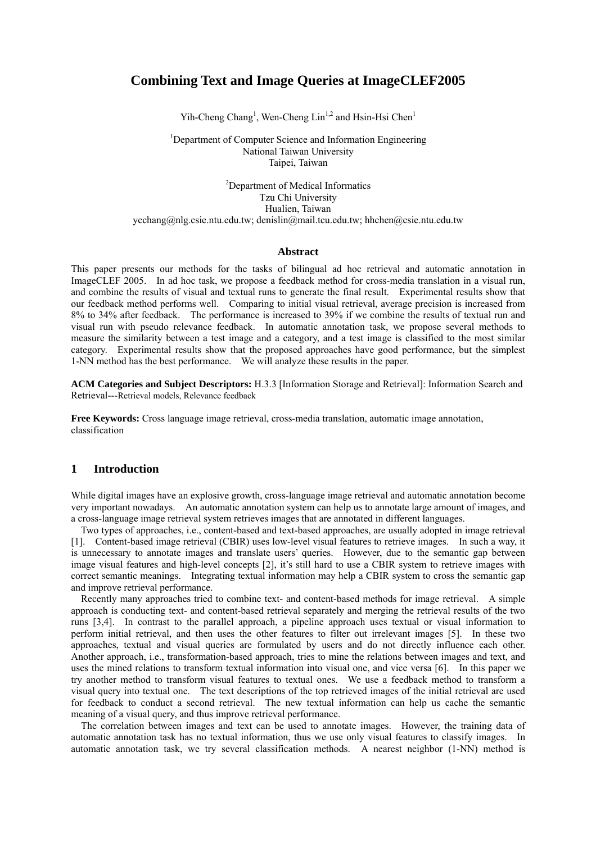# **Combining Text and Image Queries at ImageCLEF2005**

Yih-Cheng Chang<sup>1</sup>, Wen-Cheng Lin<sup>1,2</sup> and Hsin-Hsi Chen<sup>1</sup>

<sup>1</sup>Department of Computer Science and Information Engineering National Taiwan University Taipei, Taiwan

<sup>2</sup>Department of Medical Informatics Tzu Chi University Hualien, Taiwan ycchang@nlg.csie.ntu.edu.tw; denislin@mail.tcu.edu.tw; hhchen@csie.ntu.edu.tw

#### **Abstract**

This paper presents our methods for the tasks of bilingual ad hoc retrieval and automatic annotation in ImageCLEF 2005. In ad hoc task, we propose a feedback method for cross-media translation in a visual run, and combine the results of visual and textual runs to generate the final result. Experimental results show that our feedback method performs well. Comparing to initial visual retrieval, average precision is increased from 8% to 34% after feedback. The performance is increased to 39% if we combine the results of textual run and visual run with pseudo relevance feedback. In automatic annotation task, we propose several methods to measure the similarity between a test image and a category, and a test image is classified to the most similar category. Experimental results show that the proposed approaches have good performance, but the simplest 1-NN method has the best performance. We will analyze these results in the paper.

**ACM Categories and Subject Descriptors:** H.3.3 [Information Storage and Retrieval]: Information Search and Retrieval---Retrieval models, Relevance feedback

**Free Keywords:** Cross language image retrieval, cross-media translation, automatic image annotation, classification

### **1 Introduction**

While digital images have an explosive growth, cross-language image retrieval and automatic annotation become very important nowadays. An automatic annotation system can help us to annotate large amount of images, and a cross-language image retrieval system retrieves images that are annotated in different languages.

Two types of approaches, i.e., content-based and text-based approaches, are usually adopted in image retrieval [1]. Content-based image retrieval (CBIR) uses low-level visual features to retrieve images. In such a way, it is unnecessary to annotate images and translate users' queries. However, due to the semantic gap between image visual features and high-level concepts [2], it's still hard to use a CBIR system to retrieve images with correct semantic meanings. Integrating textual information may help a CBIR system to cross the semantic gap and improve retrieval performance.

Recently many approaches tried to combine text- and content-based methods for image retrieval. A simple approach is conducting text- and content-based retrieval separately and merging the retrieval results of the two runs [3,4]. In contrast to the parallel approach, a pipeline approach uses textual or visual information to perform initial retrieval, and then uses the other features to filter out irrelevant images [5]. In these two approaches, textual and visual queries are formulated by users and do not directly influence each other. Another approach, i.e., transformation-based approach, tries to mine the relations between images and text, and uses the mined relations to transform textual information into visual one, and vice versa [6]. In this paper we try another method to transform visual features to textual ones. We use a feedback method to transform a visual query into textual one. The text descriptions of the top retrieved images of the initial retrieval are used for feedback to conduct a second retrieval. The new textual information can help us cache the semantic meaning of a visual query, and thus improve retrieval performance.

The correlation between images and text can be used to annotate images. However, the training data of automatic annotation task has no textual information, thus we use only visual features to classify images. In automatic annotation task, we try several classification methods. A nearest neighbor (1-NN) method is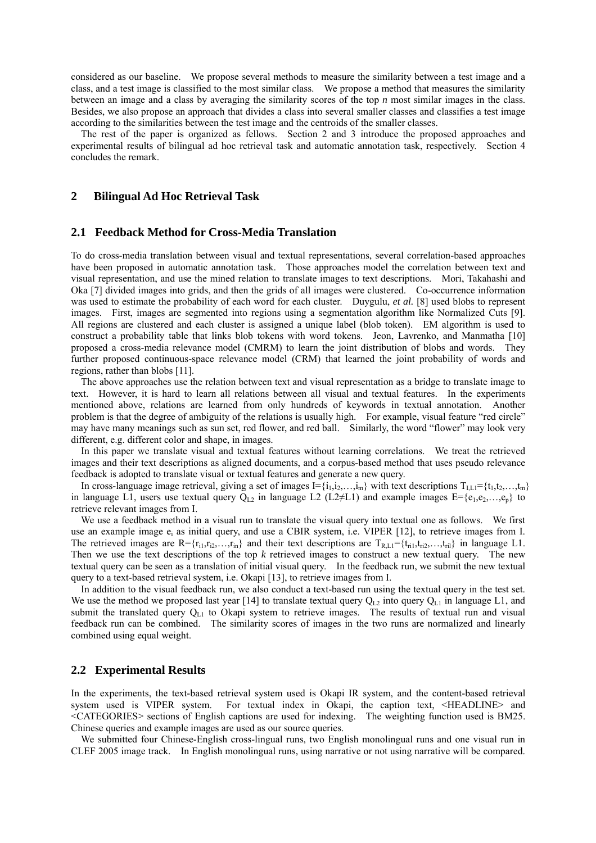considered as our baseline. We propose several methods to measure the similarity between a test image and a class, and a test image is classified to the most similar class. We propose a method that measures the similarity between an image and a class by averaging the similarity scores of the top *n* most similar images in the class. Besides, we also propose an approach that divides a class into several smaller classes and classifies a test image according to the similarities between the test image and the centroids of the smaller classes.

The rest of the paper is organized as fellows. Section 2 and 3 introduce the proposed approaches and experimental results of bilingual ad hoc retrieval task and automatic annotation task, respectively. Section 4 concludes the remark.

### **2 Bilingual Ad Hoc Retrieval Task**

### **2.1 Feedback Method for Cross-Media Translation**

To do cross-media translation between visual and textual representations, several correlation-based approaches have been proposed in automatic annotation task. Those approaches model the correlation between text and visual representation, and use the mined relation to translate images to text descriptions. Mori, Takahashi and Oka [7] divided images into grids, and then the grids of all images were clustered. Co-occurrence information was used to estimate the probability of each word for each cluster. Duygulu, *et al.* [8] used blobs to represent images. First, images are segmented into regions using a segmentation algorithm like Normalized Cuts [9]. All regions are clustered and each cluster is assigned a unique label (blob token). EM algorithm is used to construct a probability table that links blob tokens with word tokens. Jeon, Lavrenko, and Manmatha [10] proposed a cross-media relevance model (CMRM) to learn the joint distribution of blobs and words. They further proposed continuous-space relevance model (CRM) that learned the joint probability of words and regions, rather than blobs [11].

The above approaches use the relation between text and visual representation as a bridge to translate image to text. However, it is hard to learn all relations between all visual and textual features. In the experiments mentioned above, relations are learned from only hundreds of keywords in textual annotation. Another problem is that the degree of ambiguity of the relations is usually high. For example, visual feature "red circle" may have many meanings such as sun set, red flower, and red ball. Similarly, the word "flower" may look very different, e.g. different color and shape, in images.

In this paper we translate visual and textual features without learning correlations. We treat the retrieved images and their text descriptions as aligned documents, and a corpus-based method that uses pseudo relevance feedback is adopted to translate visual or textual features and generate a new query.

In cross-language image retrieval, giving a set of images  $I = \{i_1, i_2, \ldots, i_m\}$  with text descriptions  $T_{\text{LL}} = \{t_1, t_2, \ldots, t_m\}$ in language L1, users use textual query  $Q_{L2}$  in language L2 (L2≠L1) and example images E={e<sub>1</sub>,e<sub>2</sub>,...,e<sub>p</sub>} to retrieve relevant images from I.

We use a feedback method in a visual run to translate the visual query into textual one as follows. We first use an example image  $e_i$  as initial query, and use a CBIR system, i.e. VIPER [12], to retrieve images from I. The retrieved images are  $R = {r_{i1}, r_{i2}, \ldots, r_{in}}$  and their text descriptions are  $T_{R, L1} = {t_{ri1}, t_{ri2}, \ldots, t_{ri1}}$  in language L1. Then we use the text descriptions of the top *k* retrieved images to construct a new textual query. The new textual query can be seen as a translation of initial visual query. In the feedback run, we submit the new textual query to a text-based retrieval system, i.e. Okapi [13], to retrieve images from I.

In addition to the visual feedback run, we also conduct a text-based run using the textual query in the test set. We use the method we proposed last year [14] to translate textual query  $Q_{L2}$  into query  $Q_{L1}$  in language L1, and submit the translated query  $Q_{L1}$  to Okapi system to retrieve images. The results of textual run and visual feedback run can be combined. The similarity scores of images in the two runs are normalized and linearly combined using equal weight.

#### **2.2 Experimental Results**

In the experiments, the text-based retrieval system used is Okapi IR system, and the content-based retrieval system used is VIPER system. For textual index in Okapi, the caption text, <HEADLINE> and <CATEGORIES> sections of English captions are used for indexing. The weighting function used is BM25. Chinese queries and example images are used as our source queries.

We submitted four Chinese-English cross-lingual runs, two English monolingual runs and one visual run in CLEF 2005 image track. In English monolingual runs, using narrative or not using narrative will be compared.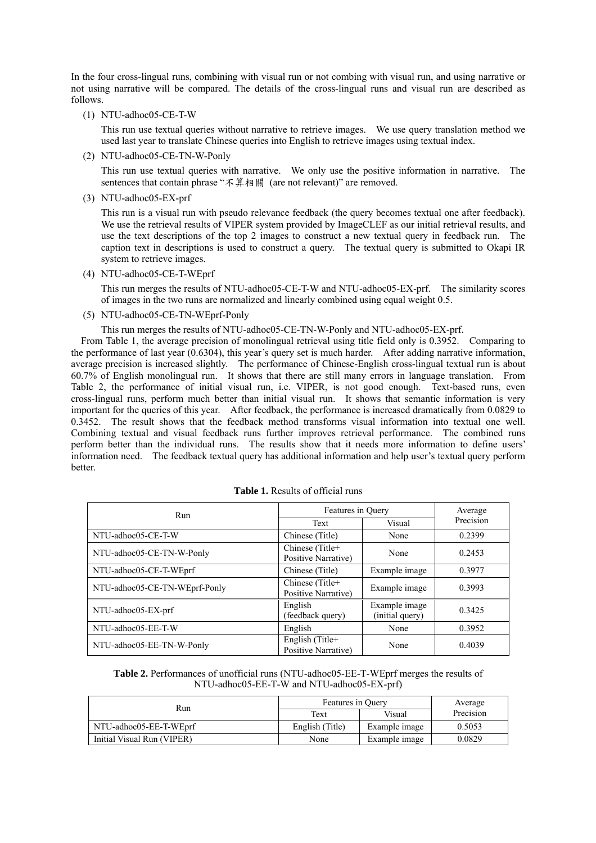In the four cross-lingual runs, combining with visual run or not combing with visual run, and using narrative or not using narrative will be compared. The details of the cross-lingual runs and visual run are described as follows.

(1) NTU-adhoc05-CE-T-W

This run use textual queries without narrative to retrieve images. We use query translation method we used last year to translate Chinese queries into English to retrieve images using textual index.

(2) NTU-adhoc05-CE-TN-W-Ponly

This run use textual queries with narrative. We only use the positive information in narrative. The sentences that contain phrase "不算相關 (are not relevant)" are removed.

(3) NTU-adhoc05-EX-prf

This run is a visual run with pseudo relevance feedback (the query becomes textual one after feedback). We use the retrieval results of VIPER system provided by ImageCLEF as our initial retrieval results, and use the text descriptions of the top 2 images to construct a new textual query in feedback run. The caption text in descriptions is used to construct a query. The textual query is submitted to Okapi IR system to retrieve images.

(4) NTU-adhoc05-CE-T-WEprf

This run merges the results of NTU-adhoc05-CE-T-W and NTU-adhoc05-EX-prf. The similarity scores of images in the two runs are normalized and linearly combined using equal weight 0.5.

(5) NTU-adhoc05-CE-TN-WEprf-Ponly

This run merges the results of NTU-adhoc05-CE-TN-W-Ponly and NTU-adhoc05-EX-prf.

From Table 1, the average precision of monolingual retrieval using title field only is 0.3952. Comparing to the performance of last year (0.6304), this year's query set is much harder. After adding narrative information, average precision is increased slightly. The performance of Chinese-English cross-lingual textual run is about 60.7% of English monolingual run. It shows that there are still many errors in language translation. From Table 2, the performance of initial visual run, i.e. VIPER, is not good enough. Text-based runs, even cross-lingual runs, perform much better than initial visual run. It shows that semantic information is very important for the queries of this year. After feedback, the performance is increased dramatically from 0.0829 to 0.3452. The result shows that the feedback method transforms visual information into textual one well. Combining textual and visual feedback runs further improves retrieval performance. The combined runs perform better than the individual runs. The results show that it needs more information to define users' information need. The feedback textual query has additional information and help user's textual query perform better.

| <b>Run</b>                    | Features in Query                      |                                  | Average   |
|-------------------------------|----------------------------------------|----------------------------------|-----------|
|                               | Text                                   | Visual                           | Precision |
| NTU-adhoc05-CE-T-W            | Chinese (Title)                        | None                             | 0.2399    |
| NTU-adhoc05-CE-TN-W-Ponly     | Chinese (Title+<br>Positive Narrative) | None                             | 0.2453    |
| NTU-adhoc05-CE-T-WEprf        | Chinese (Title)                        | Example image                    | 0.3977    |
| NTU-adhoc05-CE-TN-WEprf-Ponly | Chinese (Title+<br>Positive Narrative) | Example image                    | 0.3993    |
| NTU-adhoc05-EX-prf            | English<br>(feedback query)            | Example image<br>(initial query) | 0.3425    |
| NTU-adhoc05-EE-T-W            | English                                | None                             | 0.3952    |
| NTU-adhoc05-EE-TN-W-Ponly     | English (Title+<br>Positive Narrative) | None                             | 0.4039    |

#### **Table 1.** Results of official runs

**Table 2.** Performances of unofficial runs (NTU-adhoc05-EE-T-WEprf merges the results of NTU-adhoc05-EE-T-W and NTU-adhoc05-EX-prf)

| Run                        | Features in Ouery |               | Average   |
|----------------------------|-------------------|---------------|-----------|
|                            | Text              | Visual        | Precision |
| NTU-adhoc05-EE-T-WEprf     | English (Title)   | Example image | 0.5053    |
| Initial Visual Run (VIPER) | None              | Example image | 0.0829    |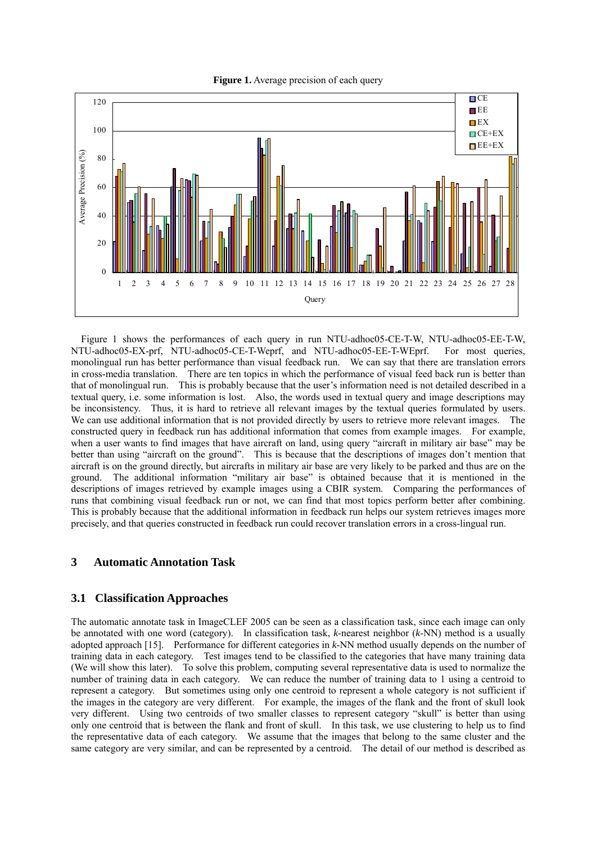**Figure 1.** Average precision of each query



Figure 1 shows the performances of each query in run NTU-adhoc05-CE-T-W, NTU-adhoc05-EE-T-W, NTU-adhoc05-EX-prf, NTU-adhoc05-CE-T-Weprf, and NTU-adhoc05-EE-T-WEprf. For most queries, monolingual run has better performance than visual feedback run. We can say that there are translation errors in cross-media translation. There are ten topics in which the performance of visual feed back run is better than that of monolingual run. This is probably because that the user's information need is not detailed described in a textual query, i.e. some information is lost. Also, the words used in textual query and image descriptions may be inconsistency. Thus, it is hard to retrieve all relevant images by the textual queries formulated by users. We can use additional information that is not provided directly by users to retrieve more relevant images. The constructed query in feedback run has additional information that comes from example images. For example, when a user wants to find images that have aircraft on land, using query "aircraft in military air base" may be better than using "aircraft on the ground". This is because that the descriptions of images don't mention that aircraft is on the ground directly, but aircrafts in military air base are very likely to be parked and thus are on the ground. The additional information "military air base" is obtained because that it is mentioned in the descriptions of images retrieved by example images using a CBIR system. Comparing the performances of runs that combining visual feedback run or not, we can find that most topics perform better after combining. This is probably because that the additional information in feedback run helps our system retrieves images more precisely, and that queries constructed in feedback run could recover translation errors in a cross-lingual run.

### **3 Automatic Annotation Task**

# **3.1 Classification Approaches**

The automatic annotate task in ImageCLEF 2005 can be seen as a classification task, since each image can only be annotated with one word (category). In classification task, *k*-nearest neighbor (*k*-NN) method is a usually adopted approach [15]. Performance for different categories in *k*-NN method usually depends on the number of training data in each category. Test images tend to be classified to the categories that have many training data (We will show this later). To solve this problem, computing several representative data is used to normalize the number of training data in each category. We can reduce the number of training data to 1 using a centroid to represent a category. But sometimes using only one centroid to represent a whole category is not sufficient if the images in the category are very different. For example, the images of the flank and the front of skull look very different. Using two centroids of two smaller classes to represent category "skull" is better than using only one centroid that is between the flank and front of skull. In this task, we use clustering to help us to find the representative data of each category. We assume that the images that belong to the same cluster and the same category are very similar, and can be represented by a centroid. The detail of our method is described as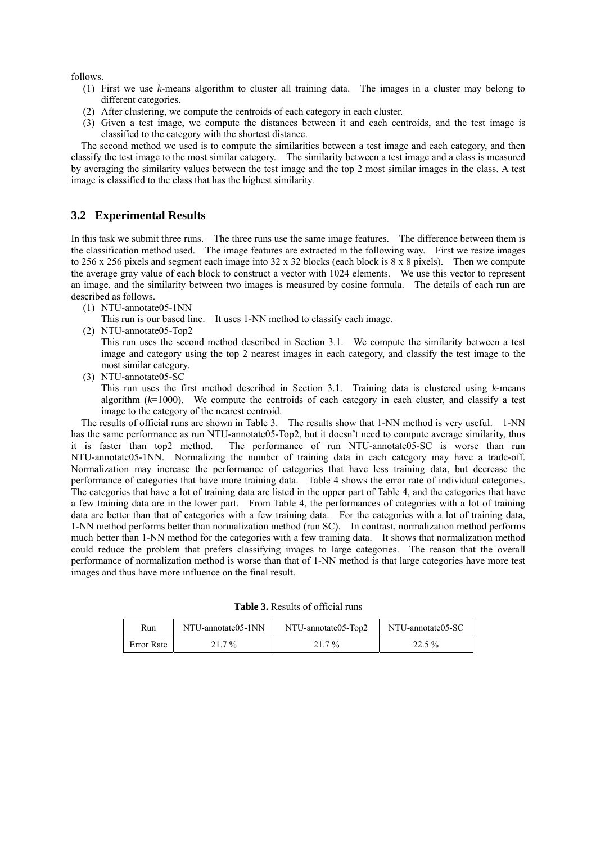follows.

- (1) First we use *k*-means algorithm to cluster all training data. The images in a cluster may belong to different categories.
- (2) After clustering, we compute the centroids of each category in each cluster.
- (3) Given a test image, we compute the distances between it and each centroids, and the test image is classified to the category with the shortest distance.

The second method we used is to compute the similarities between a test image and each category, and then classify the test image to the most similar category. The similarity between a test image and a class is measured by averaging the similarity values between the test image and the top 2 most similar images in the class. A test image is classified to the class that has the highest similarity.

### **3.2 Experimental Results**

In this task we submit three runs. The three runs use the same image features. The difference between them is the classification method used. The image features are extracted in the following way. First we resize images to 256 x 256 pixels and segment each image into  $32 \times 32$  blocks (each block is  $8 \times 8$  pixels). Then we compute the average gray value of each block to construct a vector with 1024 elements. We use this vector to represent an image, and the similarity between two images is measured by cosine formula. The details of each run are described as follows.

- (1) NTU-annotate05-1NN
	- This run is our based line. It uses 1-NN method to classify each image.
- (2) NTU-annotate05-Top2

This run uses the second method described in Section 3.1. We compute the similarity between a test image and category using the top 2 nearest images in each category, and classify the test image to the most similar category.

(3) NTU-annotate05-SC

This run uses the first method described in Section 3.1. Training data is clustered using *k*-means algorithm (*k*=1000). We compute the centroids of each category in each cluster, and classify a test image to the category of the nearest centroid.

The results of official runs are shown in Table 3. The results show that 1-NN method is very useful. 1-NN has the same performance as run NTU-annotate05-Top2, but it doesn't need to compute average similarity, thus it is faster than top2 method. The performance of run NTU-annotate05-SC is worse than run NTU-annotate05-1NN. Normalizing the number of training data in each category may have a trade-off. Normalization may increase the performance of categories that have less training data, but decrease the performance of categories that have more training data. Table 4 shows the error rate of individual categories. The categories that have a lot of training data are listed in the upper part of Table 4, and the categories that have a few training data are in the lower part. From Table 4, the performances of categories with a lot of training data are better than that of categories with a few training data. For the categories with a lot of training data, 1-NN method performs better than normalization method (run SC). In contrast, normalization method performs much better than 1-NN method for the categories with a few training data. It shows that normalization method could reduce the problem that prefers classifying images to large categories. The reason that the overall performance of normalization method is worse than that of 1-NN method is that large categories have more test images and thus have more influence on the final result.

|  |  | <b>Table 3.</b> Results of official runs |  |
|--|--|------------------------------------------|--|
|--|--|------------------------------------------|--|

| Run        | NTU-annotate05-1NN | NTU-annotate05-Top2 | NTU-annotate05-SC |  |
|------------|--------------------|---------------------|-------------------|--|
| Error Rate | 21.7 %             | $21.7\%$            | $22.5\%$          |  |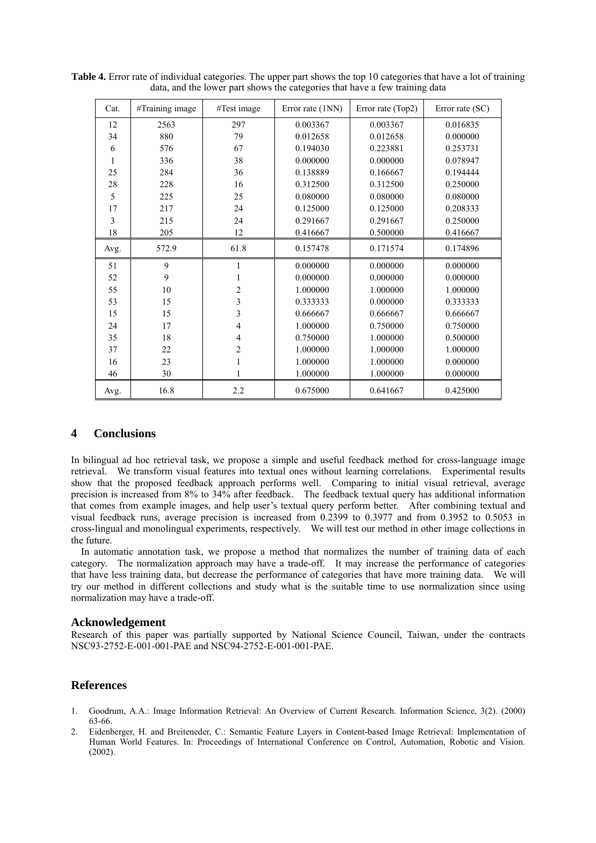| Cat. | #Training image | #Test image | Error rate (1NN) | Error rate (Top2) | Error rate (SC) |
|------|-----------------|-------------|------------------|-------------------|-----------------|
| 12   | 2563            | 297         | 0.003367         | 0.003367          | 0.016835        |
| 34   | 880             | 79          | 0.012658         | 0.012658          | 0.000000        |
| 6    | 576             | 67          | 0.194030         | 0.223881          | 0.253731        |
| 1    | 336             | 38          | 0.000000         | 0.000000          | 0.078947        |
| 25   | 284             | 36          | 0.138889         | 0.166667          | 0.194444        |
| 28   | 228             | 16          | 0.312500         | 0.312500          | 0.250000        |
| 5    | 225             | 25          | 0.080000         | 0.080000          | 0.080000        |
| 17   | 217             | 24          | 0.125000         | 0.125000          | 0.208333        |
| 3    | 215             | 24          | 0.291667         | 0.291667          | 0.250000        |
| 18   | 205             | 12          | 0.416667         | 0.500000          | 0.416667        |
| Avg. | 572.9           | 61.8        | 0.157478         | 0.171574          | 0.174896        |
| 51   | 9               | 1           | 0.000000         | 0.000000          | 0.000000        |
| 52   | 9               |             | 0.000000         | 0.000000          | 0.000000        |
| 55   | 10              | 2           | 1.000000         | 1.000000          | 1.000000        |
| 53   | 15              | 3           | 0.333333         | 0.000000          | 0.333333        |
| 15   | 15              | 3           | 0.666667         | 0.666667          | 0.666667        |
| 24   | 17              | 4           | 1.000000         | 0.750000          | 0.750000        |
| 35   | 18              | 4           | 0.750000         | 1.000000          | 0.500000        |
| 37   | 22              | 2           | 1.000000         | 1.000000          | 1.000000        |
| 16   | 23              | 1           | 1.000000         | 1.000000          | 0.000000        |
| 46   | 30              | 1           | 1.000000         | 1.000000          | 0.000000        |
| Avg. | 16.8            | 2.2         | 0.675000         | 0.641667          | 0.425000        |

**Table 4.** Error rate of individual categories. The upper part shows the top 10 categories that have a lot of training data, and the lower part shows the categories that have a few training data

### **4 Conclusions**

In bilingual ad hoc retrieval task, we propose a simple and useful feedback method for cross-language image retrieval. We transform visual features into textual ones without learning correlations. Experimental results show that the proposed feedback approach performs well. Comparing to initial visual retrieval, average precision is increased from 8% to 34% after feedback. The feedback textual query has additional information that comes from example images, and help user's textual query perform better. After combining textual and visual feedback runs, average precision is increased from 0.2399 to 0.3977 and from 0.3952 to 0.5053 in cross-lingual and monolingual experiments, respectively. We will test our method in other image collections in the future.

In automatic annotation task, we propose a method that normalizes the number of training data of each category. The normalization approach may have a trade-off. It may increase the performance of categories that have less training data, but decrease the performance of categories that have more training data. We will try our method in different collections and study what is the suitable time to use normalization since using normalization may have a trade-off.

#### **Acknowledgement**

Research of this paper was partially supported by National Science Council, Taiwan, under the contracts NSC93-2752-E-001-001-PAE and NSC94-2752-E-001-001-PAE.

# **References**

- 1. Goodrum, A.A.: Image Information Retrieval: An Overview of Current Research. Information Science, 3(2). (2000) 63-66.
- 2. Eidenberger, H. and Breiteneder, C.: Semantic Feature Layers in Content-based Image Retrieval: Implementation of Human World Features. In: Proceedings of International Conference on Control, Automation, Robotic and Vision. (2002).